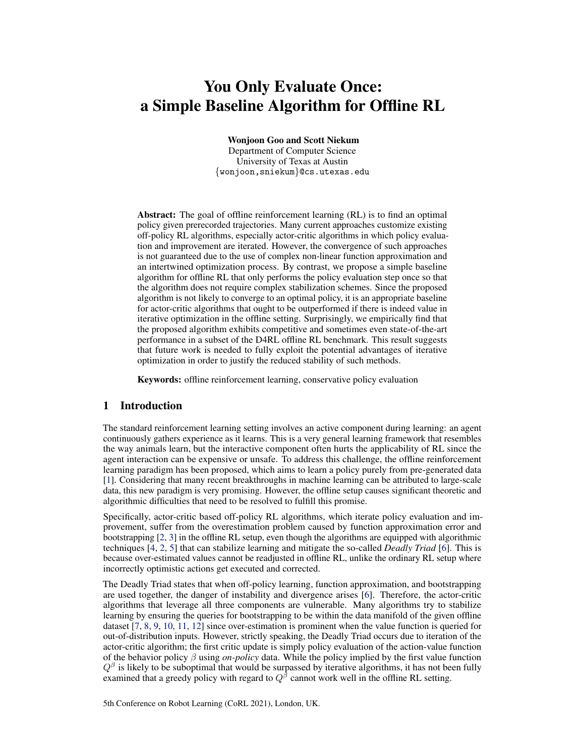# You Only Evaluate Once: a Simple Baseline Algorithm for Offline RL

Wonjoon Goo and Scott Niekum

Department of Computer Science University of Texas at Austin {wonjoon,sniekum}@cs.utexas.edu

Abstract: The goal of offline reinforcement learning (RL) is to find an optimal policy given prerecorded trajectories. Many current approaches customize existing off-policy RL algorithms, especially actor-critic algorithms in which policy evaluation and improvement are iterated. However, the convergence of such approaches is not guaranteed due to the use of complex non-linear function approximation and an intertwined optimization process. By contrast, we propose a simple baseline algorithm for offline RL that only performs the policy evaluation step once so that the algorithm does not require complex stabilization schemes. Since the proposed algorithm is not likely to converge to an optimal policy, it is an appropriate baseline for actor-critic algorithms that ought to be outperformed if there is indeed value in iterative optimization in the offline setting. Surprisingly, we empirically find that the proposed algorithm exhibits competitive and sometimes even state-of-the-art performance in a subset of the D4RL offline RL benchmark. This result suggests that future work is needed to fully exploit the potential advantages of iterative optimization in order to justify the reduced stability of such methods.

Keywords: offline reinforcement learning, conservative policy evaluation

#### 1 Introduction

The standard reinforcement learning setting involves an active component during learning: an agent continuously gathers experience as it learns. This is a very general learning framework that resembles the way animals learn, but the interactive component often hurts the applicability of RL since the agent interaction can be expensive or unsafe. To address this challenge, the offline reinforcement learning paradigm has been proposed, which aims to learn a policy purely from pre-generated data [\[1\]](#page-8-0). Considering that many recent breakthroughs in machine learning can be attributed to large-scale data, this new paradigm is very promising. However, the offline setup causes significant theoretic and algorithmic difficulties that need to be resolved to fulfill this promise.

Specifically, actor-critic based off-policy RL algorithms, which iterate policy evaluation and improvement, suffer from the overestimation problem caused by function approximation error and bootstrapping [\[2,](#page-8-0) [3\]](#page-8-0) in the offline RL setup, even though the algorithms are equipped with algorithmic techniques [\[4,](#page-8-0) [2,](#page-8-0) [5\]](#page-8-0) that can stabilize learning and mitigate the so-called *Deadly Triad* [\[6\]](#page-8-0). This is because over-estimated values cannot be readjusted in offline RL, unlike the ordinary RL setup where incorrectly optimistic actions get executed and corrected.

The Deadly Triad states that when off-policy learning, function approximation, and bootstrapping are used together, the danger of instability and divergence arises [\[6\]](#page-8-0). Therefore, the actor-critic algorithms that leverage all three components are vulnerable. Many algorithms try to stabilize learning by ensuring the queries for bootstrapping to be within the data manifold of the given offline dataset [\[7,](#page-8-0) [8,](#page-8-0) [9,](#page-8-0) [10,](#page-8-0) [11,](#page-8-0) [12\]](#page-8-0) since over-estimation is prominent when the value function is queried for out-of-distribution inputs. However, strictly speaking, the Deadly Triad occurs due to iteration of the actor-critic algorithm; the first critic update is simply policy evaluation of the action-value function of the behavior policy β using *on-policy* data. While the policy implied by the first value function  $Q^{\beta}$  is likely to be suboptimal that would be surpassed by iterative algorithms, it has not been fully examined that a greedy policy with regard to  $Q^{\beta}$  cannot work well in the offline RL setting.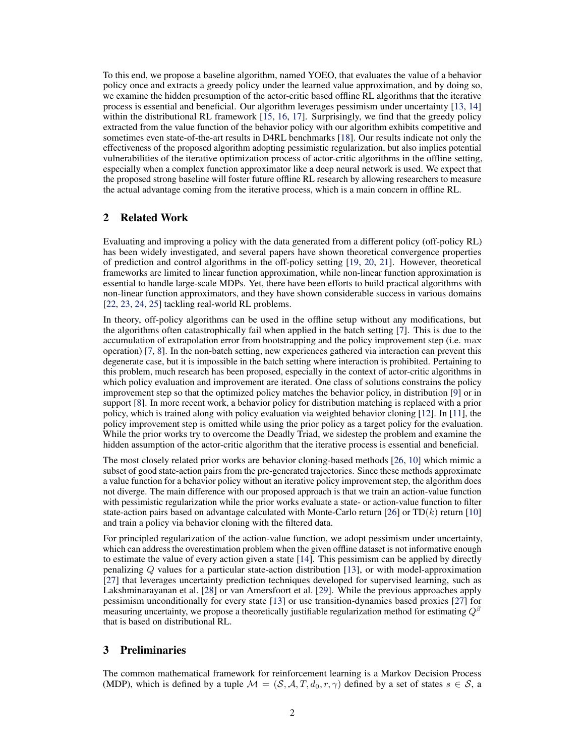To this end, we propose a baseline algorithm, named YOEO, that evaluates the value of a behavior policy once and extracts a greedy policy under the learned value approximation, and by doing so, we examine the hidden presumption of the actor-critic based offline RL algorithms that the iterative process is essential and beneficial. Our algorithm leverages pessimism under uncertainty [\[13,](#page-8-0) [14\]](#page-8-0) within the distributional RL framework [\[15,](#page-8-0) [16,](#page-9-0) [17\]](#page-9-0). Surprisingly, we find that the greedy policy extracted from the value function of the behavior policy with our algorithm exhibits competitive and sometimes even state-of-the-art results in D4RL benchmarks [\[18\]](#page-9-0). Our results indicate not only the effectiveness of the proposed algorithm adopting pessimistic regularization, but also implies potential vulnerabilities of the iterative optimization process of actor-critic algorithms in the offline setting, especially when a complex function approximator like a deep neural network is used. We expect that the proposed strong baseline will foster future offline RL research by allowing researchers to measure the actual advantage coming from the iterative process, which is a main concern in offline RL.

#### 2 Related Work

Evaluating and improving a policy with the data generated from a different policy (off-policy RL) has been widely investigated, and several papers have shown theoretical convergence properties of prediction and control algorithms in the off-policy setting [\[19,](#page-9-0) [20,](#page-9-0) [21\]](#page-9-0). However, theoretical frameworks are limited to linear function approximation, while non-linear function approximation is essential to handle large-scale MDPs. Yet, there have been efforts to build practical algorithms with non-linear function approximators, and they have shown considerable success in various domains [\[22,](#page-9-0) [23,](#page-9-0) [24,](#page-9-0) [25\]](#page-9-0) tackling real-world RL problems.

In theory, off-policy algorithms can be used in the offline setup without any modifications, but the algorithms often catastrophically fail when applied in the batch setting [\[7\]](#page-8-0). This is due to the accumulation of extrapolation error from bootstrapping and the policy improvement step (i.e. max operation) [\[7,](#page-8-0) [8\]](#page-8-0). In the non-batch setting, new experiences gathered via interaction can prevent this degenerate case, but it is impossible in the batch setting where interaction is prohibited. Pertaining to this problem, much research has been proposed, especially in the context of actor-critic algorithms in which policy evaluation and improvement are iterated. One class of solutions constrains the policy improvement step so that the optimized policy matches the behavior policy, in distribution [\[9\]](#page-8-0) or in support [\[8\]](#page-8-0). In more recent work, a behavior policy for distribution matching is replaced with a prior policy, which is trained along with policy evaluation via weighted behavior cloning [\[12\]](#page-8-0). In [\[11\]](#page-8-0), the policy improvement step is omitted while using the prior policy as a target policy for the evaluation. While the prior works try to overcome the Deadly Triad, we sidestep the problem and examine the hidden assumption of the actor-critic algorithm that the iterative process is essential and beneficial.

The most closely related prior works are behavior cloning-based methods [\[26,](#page-9-0) [10\]](#page-8-0) which mimic a subset of good state-action pairs from the pre-generated trajectories. Since these methods approximate a value function for a behavior policy without an iterative policy improvement step, the algorithm does not diverge. The main difference with our proposed approach is that we train an action-value function with pessimistic regularization while the prior works evaluate a state- or action-value function to filter state-action pairs based on advantage calculated with Monte-Carlo return [\[26\]](#page-9-0) or  $TD(k)$  return [\[10\]](#page-8-0) and train a policy via behavior cloning with the filtered data.

For principled regularization of the action-value function, we adopt pessimism under uncertainty, which can address the overestimation problem when the given offline dataset is not informative enough to estimate the value of every action given a state [\[14\]](#page-8-0). This pessimism can be applied by directly penalizing Q values for a particular state-action distribution [\[13\]](#page-8-0), or with model-approximation [\[27\]](#page-9-0) that leverages uncertainty prediction techniques developed for supervised learning, such as Lakshminarayanan et al. [\[28\]](#page-9-0) or van Amersfoort et al. [\[29\]](#page-9-0). While the previous approaches apply pessimism unconditionally for every state [\[13\]](#page-8-0) or use transition-dynamics based proxies [\[27\]](#page-9-0) for measuring uncertainty, we propose a theoretically justifiable regularization method for estimating  $Q^{\beta}$ that is based on distributional RL.

## 3 Preliminaries

The common mathematical framework for reinforcement learning is a Markov Decision Process (MDP), which is defined by a tuple  $\mathcal{M} = (\mathcal{S}, \mathcal{A}, T, d_0, r, \gamma)$  defined by a set of states  $s \in \mathcal{S}$ , a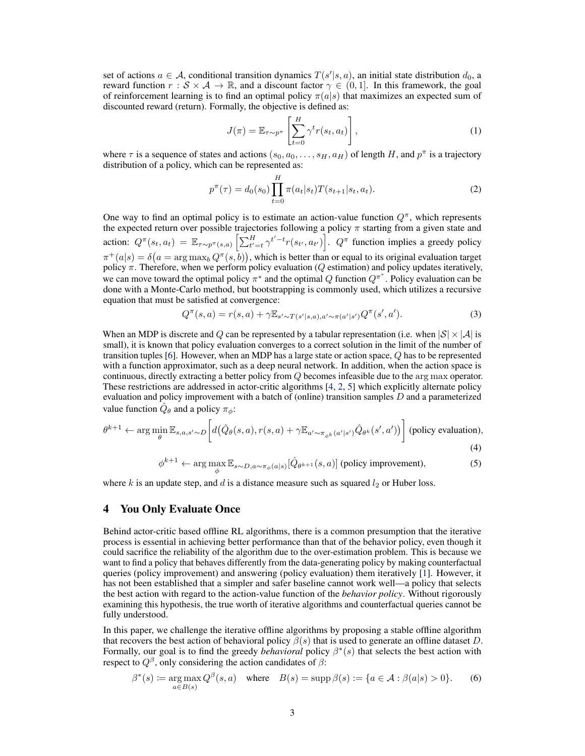set of actions  $a \in \mathcal{A}$ , conditional transition dynamics  $T(s'|s, a)$ , an initial state distribution  $d_0$ , a reward function  $r : S \times A \to \mathbb{R}$ , and a discount factor  $\gamma \in (0,1]$ . In this framework, the goal of reinforcement learning is to find an optimal policy  $\pi(a|s)$  that maximizes an expected sum of discounted reward (return). Formally, the objective is defined as:

$$
J(\pi) = \mathbb{E}_{\tau \sim p^{\pi}} \left[ \sum_{t=0}^{H} \gamma^t r(s_t, a_t) \right],
$$
 (1)

where  $\tau$  is a sequence of states and actions  $(s_0, a_0, \ldots, s_H, a_H)$  of length H, and  $p^{\pi}$  is a trajectory distribution of a policy, which can be represented as:

$$
p^{\pi}(\tau) = d_0(s_0) \prod_{t=0}^{H} \pi(a_t|s_t) T(s_{t+1}|s_t, a_t).
$$
 (2)

One way to find an optimal policy is to estimate an action-value function  $Q^{\pi}$ , which represents the expected return over possible trajectories following a policy  $\pi$  starting from a given state and action:  $Q^{\pi}(s_t, a_t) = \mathbb{E}_{\tau \sim p^{\pi}(s, a)} \left[ \sum_{t'=t}^H \gamma^{t'-t} r(s_{t'}, a_{t'}) \right]$ .  $Q^{\pi}$  function implies a greedy policy  $\pi^+(a|s) = \delta\big(a = \arg\max_b Q^\pi(s, b)\big)$ , which is better than or equal to its original evaluation target policy  $\pi$ . Therefore, when we perform policy evaluation ( $Q$  estimation) and policy updates iteratively, we can move toward the optimal policy  $\pi^*$  and the optimal Q function  $Q^{\pi^*}$ . Policy evaluation can be done with a Monte-Carlo method, but bootstrapping is commonly used, which utilizes a recursive equation that must be satisfied at convergence:

$$
Q^{\pi}(s, a) = r(s, a) + \gamma \mathbb{E}_{s' \sim T(s'|s, a), a' \sim \pi(a'|s')} Q^{\pi}(s', a').
$$
\n(3)

When an MDP is discrete and Q can be represented by a tabular representation (i.e. when  $|S| \times |A|$  is small), it is known that policy evaluation converges to a correct solution in the limit of the number of transition tuples [\[6\]](#page-8-0). However, when an MDP has a large state or action space, Q has to be represented with a function approximator, such as a deep neural network. In addition, when the action space is continuous, directly extracting a better policy from Q becomes infeasible due to the arg max operator. These restrictions are addressed in actor-critic algorithms [\[4,](#page-8-0) [2,](#page-8-0) [5\]](#page-8-0) which explicitly alternate policy evaluation and policy improvement with a batch of (online) transition samples  $D$  and a parameterized value function  $\hat{Q}_{\theta}$  and a policy  $\pi_{\phi}$ :

$$
\theta^{k+1} \leftarrow \arg\min_{\theta} \mathbb{E}_{s,a,s' \sim D} \left[ d(\hat{Q}_{\theta}(s,a), r(s,a) + \gamma \mathbb{E}_{a' \sim \pi_{\phi^k}(a'|s')} \hat{Q}_{\theta^k}(s',a')) \right] \text{ (policy evaluation)},\tag{4}
$$

$$
\phi^{k+1} \leftarrow \arg \max_{\phi} \mathbb{E}_{s \sim D, a \sim \pi_{\phi}(a|s)} [\hat{Q}_{\theta^{k+1}}(s, a)] \text{ (policy improvement)},\tag{5}
$$

where  $k$  is an update step, and  $d$  is a distance measure such as squared  $l_2$  or Huber loss.

## 4 You Only Evaluate Once

Behind actor-critic based offline RL algorithms, there is a common presumption that the iterative process is essential in achieving better performance than that of the behavior policy, even though it could sacrifice the reliability of the algorithm due to the over-estimation problem. This is because we want to find a policy that behaves differently from the data-generating policy by making counterfactual queries (policy improvement) and answering (policy evaluation) them iteratively [\[1\]](#page-8-0). However, it has not been established that a simpler and safer baseline cannot work well—a policy that selects the best action with regard to the action-value function of the *behavior policy*. Without rigorously examining this hypothesis, the true worth of iterative algorithms and counterfactual queries cannot be fully understood.

In this paper, we challenge the iterative offline algorithms by proposing a stable offline algorithm that recovers the best action of behavioral policy  $\beta(s)$  that is used to generate an offline dataset D. Formally, our goal is to find the greedy *behavioral* policy  $\beta^*(s)$  that selects the best action with respect to  $Q^{\beta}$ , only considering the action candidates of  $\beta$ :

$$
\beta^*(s) := \underset{a \in B(s)}{\arg \max} Q^{\beta}(s, a) \quad \text{where} \quad B(s) = \sup \beta(s) := \{a \in \mathcal{A} : \beta(a|s) > 0\}. \tag{6}
$$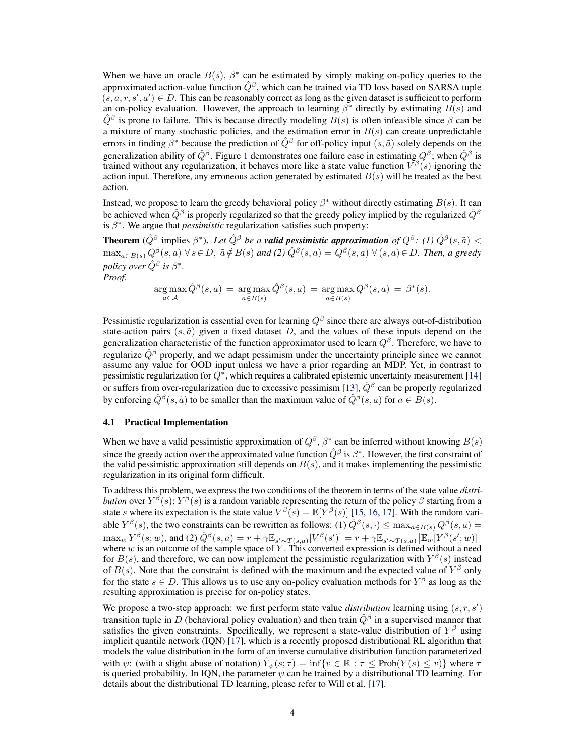When we have an oracle  $B(s)$ ,  $\beta^*$  can be estimated by simply making on-policy queries to the approximated action-value function  $\hat{Q}^{\beta}$ , which can be trained via TD loss based on SARSA tuple  $(s, a, r, s', a') \in D$ . This can be reasonably correct as long as the given dataset is sufficient to perform an on-policy evaluation. However, the approach to learning  $\beta^*$  directly by estimating  $B(s)$  and  $\hat{Q}^{\beta}$  is prone to failure. This is because directly modeling  $B(s)$  is often infeasible since  $\beta$  can be a mixture of many stochastic policies, and the estimation error in  $B(s)$  can create unpredictable errors in finding  $\beta^*$  because the prediction of  $\hat{Q}^{\beta}$  for off-policy input  $(s, \tilde{a})$  solely depends on the generalization ability of  $\hat{Q}^{\beta}$ . Figure [1](#page-7-0) demonstrates one failure case in estimating  $Q^{\beta}$ ; when  $\hat{Q}^{\beta}$  is trained without any regularization, it behaves more like a state value function  $V^{\beta}(s)$  ignoring the action input. Therefore, any erroneous action generated by estimated  $B(s)$  will be treated as the best action.

Instead, we propose to learn the greedy behavioral policy  $\beta^*$  without directly estimating  $B(s)$ . It can be achieved when  $\hat{Q}^{\beta}$  is properly regularized so that the greedy policy implied by the regularized  $\hat{Q}^{\beta}$ is  $\beta^*$ . We argue that *pessimistic* regularization satisfies such property:

**Theorem** ( $\hat{Q}^{\beta}$  implies  $\beta^*$ ). Let  $\hat{Q}^{\beta}$  be a **valid pessimistic approximation** of  $Q^{\beta}$ : (1)  $\hat{Q}^{\beta}(s,\tilde{a})$  <  $\max_{a\in B(s)} Q^{\beta}(s, a)$   $\forall s \in D, \ \tilde{a} \notin B(s)$  and (2)  $\hat{Q}^{\beta}(s, a) = Q^{\beta}(s, a)$   $\forall (s, a) \in D$ . Then, a greedy *policy over*  $\hat{Q}^{\beta}$  *is*  $\beta^*$ *. Proof.*

$$
\underset{a \in \mathcal{A}}{\arg \max} \hat{Q}^{\beta}(s, a) = \underset{a \in B(s)}{\arg \max} \hat{Q}^{\beta}(s, a) = \underset{a \in B(s)}{\arg \max} Q^{\beta}(s, a) = \beta^{*}(s).
$$

Pessimistic regularization is essential even for learning  $Q^{\beta}$  since there are always out-of-distribution state-action pairs  $(s, \tilde{a})$  given a fixed dataset D, and the values of these inputs depend on the generalization characteristic of the function approximator used to learn  $Q^{\beta}$ . Therefore, we have to regularize  $\hat{Q}^{\beta}$  properly, and we adapt pessimism under the uncertainty principle since we cannot assume any value for OOD input unless we have a prior regarding an MDP. Yet, in contrast to pessimistic regularization for  $Q^*$ , which requires a calibrated epistemic uncertainty measurement [\[14\]](#page-8-0) or suffers from over-regularization due to excessive pessimism [\[13\]](#page-8-0),  $\hat{Q}^{\beta}$  can be properly regularized by enforcing  $\hat{Q}^{\beta}(s, \tilde{a})$  to be smaller than the maximum value of  $\hat{Q}^{\beta}(s, a)$  for  $a \in B(s)$ .

#### 4.1 Practical Implementation

When we have a valid pessimistic approximation of  $Q^{\beta}$ ,  $\beta^*$  can be inferred without knowing  $B(s)$ since the greedy action over the approximated value function  $\hat{Q}^{\beta}$  is  $\beta^*$ . However, the first constraint of the valid pessimistic approximation still depends on  $B(s)$ , and it makes implementing the pessimistic regularization in its original form difficult.

To address this problem, we express the two conditions of the theorem in terms of the state value *distribution* over  $Y^{\beta}(s)$ ;  $Y^{\beta}(s)$  is a random variable representing the return of the policy  $\beta$  starting from a state s where its expectation is the state value  $V^{\beta}(s) = \mathbb{E}[Y^{\beta}(s)]$  [\[15,](#page-8-0) [16,](#page-9-0) [17\]](#page-9-0). With the random variable  $Y^{\beta}(s)$ , the two constraints can be rewritten as follows: (1)  $\hat{Q}^{\beta}(s,\cdot) \leq \max_{a \in B(s)} Q^{\beta}(s,a)$  $\max_{w} Y^{\beta}(s; w)$ , and (2)  $\hat{Q}^{\beta}(s, a) = r + \gamma \mathbb{E}_{s' \sim T(s, a)}[V^{\beta}(s')] = r + \gamma \mathbb{E}_{s' \sim T(s, a)}\big[\mathbb{E}_{w}[Y^{\beta}(s'; w)]\big]$ where  $w$  is an outcome of the sample space of Y. This converted expression is defined without a need for  $B(s)$ , and therefore, we can now implement the pessimistic regularization with  $Y^{\beta}(s)$  instead of  $B(s)$ . Note that the constraint is defined with the maximum and the expected value of  $Y^{\beta}$  only for the state  $s \in D$ . This allows us to use any on-policy evaluation methods for  $Y^{\beta}$  as long as the resulting approximation is precise for on-policy states.

We propose a two-step approach: we first perform state value *distribution* learning using  $(s, r, s')$ transition tuple in D (behavioral policy evaluation) and then train  $\hat{Q}^{\beta}$  in a supervised manner that satisfies the given constraints. Specifically, we represent a state-value distribution of  $Y^{\beta}$  using implicit quantile network (IQN) [\[17\]](#page-9-0), which is a recently proposed distributional RL algorithm that models the value distribution in the form of an inverse cumulative distribution function parameterized with  $\psi$ : (with a slight abuse of notation)  $\hat{Y}_{\psi}(s; \tau) = \inf \{ v \in \mathbb{R} : \tau \leq \text{Prob}(Y(s) \leq v) \}$  where  $\tau$ is queried probability. In IQN, the parameter  $\psi$  can be trained by a distributional TD learning. For details about the distributional TD learning, please refer to Will et al. [\[17\]](#page-9-0).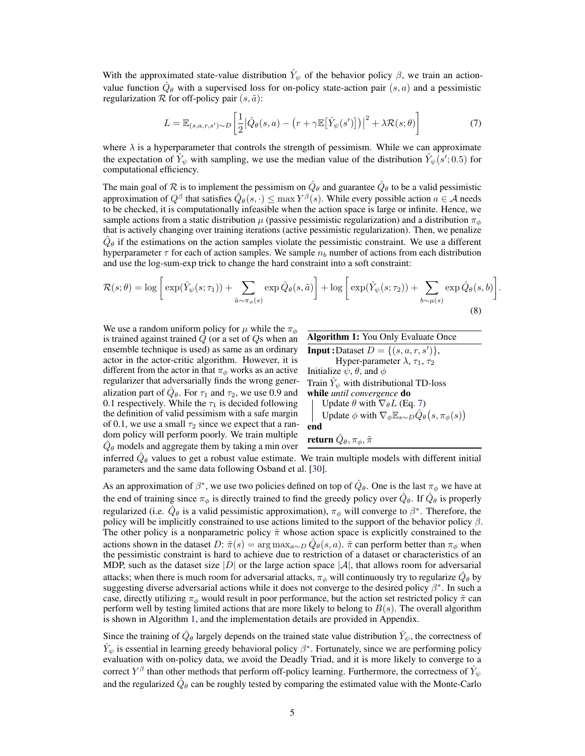<span id="page-4-0"></span>With the approximated state-value distribution  $\hat{Y}_{\psi}$  of the behavior policy  $\beta$ , we train an actionvalue function  $\hat{Q}_{\theta}$  with a supervised loss for on-policy state-action pair  $(s, a)$  and a pessimistic regularization  $R$  for off-policy pair  $(s, \tilde{a})$ :

$$
L = \mathbb{E}_{(s,a,r,s') \sim D} \left[ \frac{1}{2} \left| \hat{Q}_{\theta}(s,a) - \left( r + \gamma \mathbb{E} \left[ \hat{Y}_{\psi}(s') \right] \right) \right|^2 + \lambda \mathcal{R}(s;\theta) \right]
$$
(7)

where  $\lambda$  is a hyperparameter that controls the strength of pessimism. While we can approximate the expectation of  $\hat{Y}_{\psi}$  with sampling, we use the median value of the distribution  $\hat{Y}_{\psi}(s';0.5)$  for computational efficiency.

The main goal of  $R$  is to implement the pessimism on  $\hat{Q}_{\theta}$  and guarantee  $\hat{Q}_{\theta}$  to be a valid pessimistic approximation of  $Q^{\beta}$  that satisfies  $\hat{Q}_{\theta}(s,\cdot) \leq \max Y^{\beta}(s)$ . While every possible action  $a \in \mathcal{A}$  needs to be checked, it is computationally infeasible when the action space is large or infinite. Hence, we sample actions from a static distribution  $\mu$  (passive pessimistic regularization) and a distribution  $\pi_{\phi}$ that is actively changing over training iterations (active pessimistic regularization). Then, we penalize  $\hat{Q}_{\theta}$  if the estimations on the action samples violate the pessimistic constraint. We use a different hyperparameter  $\tau$  for each of action samples. We sample  $n_b$  number of actions from each distribution and use the log-sum-exp trick to change the hard constraint into a soft constraint:

$$
\mathcal{R}(s; \theta) = \log \left[ \exp(\hat{Y}_{\psi}(s; \tau_1)) + \sum_{\tilde{a} \sim \pi_{\phi}(s)} \exp \hat{Q}_{\theta}(s, \tilde{a}) \right] + \log \left[ \exp(\hat{Y}_{\psi}(s; \tau_2)) + \sum_{b \sim \mu(s)} \exp \hat{Q}_{\theta}(s, b) \right]
$$
\n(8)

We use a random uniform policy for  $\mu$  while the  $\pi_{\phi}$ is trained against trained  $Q$  (or a set of  $Q$ s when an ensemble technique is used) as same as an ordinary actor in the actor-critic algorithm. However, it is different from the actor in that  $\pi_{\phi}$  works as an active regularizer that adversarially finds the wrong generalization part of  $\hat{Q}_{\theta}$ . For  $\tau_1$  and  $\tau_2$ , we use 0.9 and 0.1 respectively. While the  $\tau_1$  is decided following the definition of valid pessimism with a safe margin of 0.1, we use a small  $\tau_2$  since we expect that a random policy will perform poorly. We train multiple  $\hat{Q}_{\theta}$  models and aggregate them by taking a min over

| <b>Algorithm 1:</b> You Only Evaluate Once                                                  |
|---------------------------------------------------------------------------------------------|
| <b>Input</b> :Dataset $D = \{(s, a, r, s')\},\$                                             |
| Hyper-parameter $\lambda$ , $\tau_1$ , $\tau_2$                                             |
| Initialize $\psi$ , $\theta$ , and $\phi$                                                   |
| Train $\hat{Y}_{\psi}$ with distributional TD-loss                                          |
| while until convergence do                                                                  |
| Update $\theta$ with $\nabla_{\theta}L$ (Eq. 7)                                             |
| Update $\phi$ with $\nabla_{\phi} \mathbb{E}_{s \sim D} \hat{Q}_{\theta}(s, \pi_{\phi}(s))$ |
| end                                                                                         |
| return $\hat{Q}_{\theta}, \pi_{\phi}, \tilde{\pi}$                                          |

.

inferred  $\hat{Q}_{\theta}$  values to get a robust value estimate. We train multiple models with different initial parameters and the same data following Osband et al. [\[30\]](#page-9-0).

As an approximation of  $\beta^*$ , we use two policies defined on top of  $\hat{Q}_\theta$ . One is the last  $\pi_\phi$  we have at the end of training since  $\pi_\phi$  is directly trained to find the greedy policy over  $\hat{Q}_\theta$ . If  $\hat{Q}_\theta$  is properly regularized (i.e.  $\hat{Q}_{\theta}$  is a valid pessimistic approximation),  $\pi_{\phi}$  will converge to  $\beta^*$ . Therefore, the policy will be implicitly constrained to use actions limited to the support of the behavior policy  $\beta$ . The other policy is a nonparametric policy  $\tilde{\pi}$  whose action space is explicitly constrained to the actions shown in the dataset D:  $\tilde{\pi}(s) = \arg \max_{a \sim D} \hat{Q}_{\theta}(s, a)$ .  $\tilde{\pi}$  can perform better than  $\pi_{\phi}$  when the pessimistic constraint is hard to achieve due to restriction of a dataset or characteristics of an MDP, such as the dataset size |D| or the large action space |A|, that allows room for adversarial attacks; when there is much room for adversarial attacks,  $\pi_\phi$  will continuously try to regularize  $\hat{Q}_\theta$  by suggesting diverse adversarial actions while it does not converge to the desired policy  $\beta^*$ . In such a case, directly utilizing  $\pi_{\phi}$  would result in poor performance, but the action set restricted policy  $\tilde{\pi}$  can perform well by testing limited actions that are more likely to belong to  $B(s)$ . The overall algorithm is shown in Algorithm 1, and the implementation details are provided in Appendix.

Since the training of  $\hat{Q}_{\theta}$  largely depends on the trained state value distribution  $\hat{Y}_{\psi}$ , the correctness of  $\hat{Y}_\psi$  is essential in learning greedy behavioral policy  $\beta^*$ . Fortunately, since we are performing policy evaluation with on-policy data, we avoid the Deadly Triad, and it is more likely to converge to a correct  $Y^{\beta}$  than other methods that perform off-policy learning. Furthermore, the correctness of  $\hat{Y}_{\psi}$ and the regularized  $\hat{Q}_{\theta}$  can be roughly tested by comparing the estimated value with the Monte-Carlo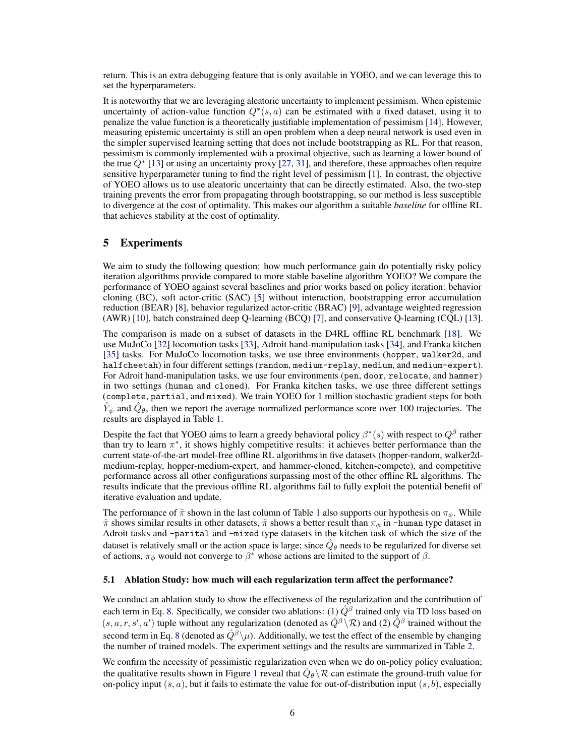return. This is an extra debugging feature that is only available in YOEO, and we can leverage this to set the hyperparameters.

It is noteworthy that we are leveraging aleatoric uncertainty to implement pessimism. When epistemic uncertainty of action-value function  $Q^*(s, a)$  can be estimated with a fixed dataset, using it to penalize the value function is a theoretically justifiable implementation of pessimism [\[14\]](#page-8-0). However, measuring epistemic uncertainty is still an open problem when a deep neural network is used even in the simpler supervised learning setting that does not include bootstrapping as RL. For that reason, pessimism is commonly implemented with a proximal objective, such as learning a lower bound of the true  $Q^*$  [\[13\]](#page-8-0) or using an uncertainty proxy [\[27,](#page-9-0) [31\]](#page-9-0), and therefore, these approaches often require sensitive hyperparameter tuning to find the right level of pessimism [\[1\]](#page-8-0). In contrast, the objective of YOEO allows us to use aleatoric uncertainty that can be directly estimated. Also, the two-step training prevents the error from propagating through bootstrapping, so our method is less susceptible to divergence at the cost of optimality. This makes our algorithm a suitable *baseline* for offline RL that achieves stability at the cost of optimality.

### 5 Experiments

We aim to study the following question: how much performance gain do potentially risky policy iteration algorithms provide compared to more stable baseline algorithm YOEO? We compare the performance of YOEO against several baselines and prior works based on policy iteration: behavior cloning (BC), soft actor-critic (SAC) [\[5\]](#page-8-0) without interaction, bootstrapping error accumulation reduction (BEAR) [\[8\]](#page-8-0), behavior regularized actor-critic (BRAC) [\[9\]](#page-8-0), advantage weighted regression (AWR) [\[10\]](#page-8-0), batch constrained deep Q-learning (BCQ) [\[7\]](#page-8-0), and conservative Q-learning (CQL) [\[13\]](#page-8-0).

The comparison is made on a subset of datasets in the D4RL offline RL benchmark [\[18\]](#page-9-0). We use MuJoCo [\[32\]](#page-9-0) locomotion tasks [\[33\]](#page-9-0), Adroit hand-manipulation tasks [\[34\]](#page-10-0), and Franka kitchen [\[35\]](#page-10-0) tasks. For MuJoCo locomotion tasks, we use three environments (hopper, walker2d, and halfcheetah) in four different settings (random, medium-replay, medium, and medium-expert). For Adroit hand-manipulation tasks, we use four environments (pen, door, relocate, and hammer) in two settings (human and cloned). For Franka kitchen tasks, we use three different settings (complete, partial, and mixed). We train YOEO for 1 million stochastic gradient steps for both  $\hat{Y}_\psi$  and  $\hat{Q}_\theta$ , then we report the average normalized performance score over 100 trajectories. The results are displayed in Table [1.](#page-6-0)

Despite the fact that YOEO aims to learn a greedy behavioral policy  $\beta^*(s)$  with respect to  $Q^{\beta}$  rather than try to learn  $\pi^*$ , it shows highly competitive results: it achieves better performance than the current state-of-the-art model-free offline RL algorithms in five datasets (hopper-random, walker2dmedium-replay, hopper-medium-expert, and hammer-cloned, kitchen-compete), and competitive performance across all other configurations surpassing most of the other offline RL algorithms. The results indicate that the previous offline RL algorithms fail to fully exploit the potential benefit of iterative evaluation and update.

The performance of  $\tilde{\pi}$  shown in the last column of Table [1](#page-6-0) also supports our hypothesis on  $\pi_{\phi}$ . While  $\tilde{\pi}$  shows similar results in other datasets,  $\tilde{\pi}$  shows a better result than  $\pi_{\phi}$  in -human type dataset in Adroit tasks and -parital and -mixed type datasets in the kitchen task of which the size of the dataset is relatively small or the action space is large; since  $\hat{Q}_{\theta}$  needs to be regularized for diverse set of actions,  $\pi_{\phi}$  would not converge to  $\beta^*$  whose actions are limited to the support of  $\beta$ .

#### 5.1 Ablation Study: how much will each regularization term affect the performance?

We conduct an ablation study to show the effectiveness of the regularization and the contribution of each term in Eq. [8.](#page-4-0) Specifically, we consider two ablations: (1)  $\hat{Q}^{\beta}$  trained only via TD loss based on  $(s, a, r, s', a')$  tuple without any regularization (denoted as  $\hat{Q}^{\beta} \backslash \mathcal{R}$ ) and (2)  $\hat{Q}^{\beta}$  trained without the second term in Eq. [8](#page-4-0) (denoted as  $\hat{Q}^{\beta} \backslash \mu$ ). Additionally, we test the effect of the ensemble by changing the number of trained models. The experiment settings and the results are summarized in Table [2.](#page-6-0)

We confirm the necessity of pessimistic regularization even when we do on-policy policy evaluation; the qualitative results shown in Figure [1](#page-7-0) reveal that  $\hat{Q}_{\theta} \backslash \mathcal{R}$  can estimate the ground-truth value for on-policy input  $(s, a)$ , but it fails to estimate the value for out-of-distribution input  $(s, b)$ , especially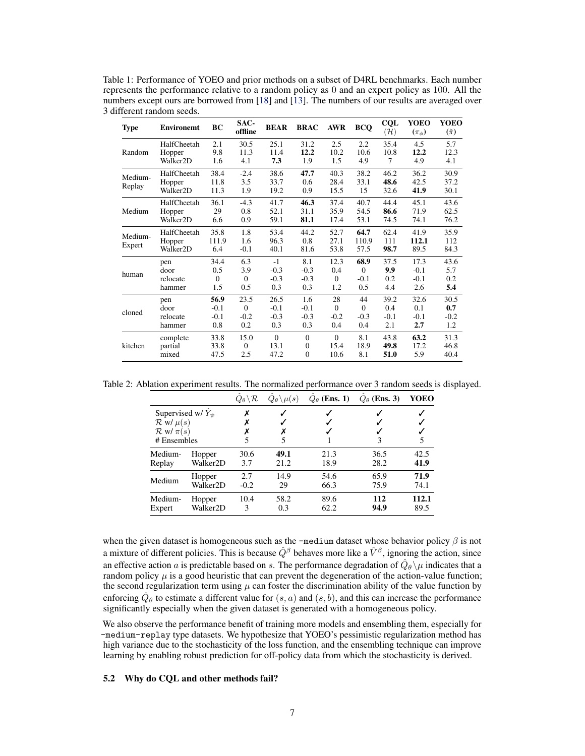<span id="page-6-0"></span>Table 1: Performance of YOEO and prior methods on a subset of D4RL benchmarks. Each number represents the performance relative to a random policy as 0 and an expert policy as 100. All the numbers except ours are borrowed from [\[18\]](#page-9-0) and [\[13\]](#page-8-0). The numbers of our results are averaged over 3 different random seeds.

| <b>Type</b>       | <b>Environemt</b>    | BC       | SAC-<br>offline | <b>BEAR</b> | <b>BRAC</b> | <b>AWR</b>                                                                                                                                                                                        | <b>BCQ</b> | CQL<br>$(\mathcal{H})$ | YOEO<br>$(\pi_{\phi})$ | YOEO<br>$(\tilde{\pi})$ |
|-------------------|----------------------|----------|-----------------|-------------|-------------|---------------------------------------------------------------------------------------------------------------------------------------------------------------------------------------------------|------------|------------------------|------------------------|-------------------------|
|                   | HalfCheetah          | 2.1      | 30.5            | 25.1        | 31.2        | 2.5                                                                                                                                                                                               | 2.2        | 35.4                   | 4.5                    | 5.7                     |
| Random            | Hopper               | 9.8      | 11.3            | 11.4        | 12.2        | 10.2                                                                                                                                                                                              | 10.6       | 10.8                   | 12.2                   | 12.3                    |
|                   | Walker2D             | 1.6      | 4.1             | 7.3         | 1.9         | 1.5                                                                                                                                                                                               | 4.9        | 7                      | 4.9                    | 4.1                     |
| Medium-<br>Replay | HalfCheetah          | 38.4     | $-2.4$          | 38.6        | 47.7        | 40.3                                                                                                                                                                                              | 38.2       | 46.2                   | 36.2                   | 30.9                    |
|                   | Hopper               | 11.8     | 3.5             | 33.7        | 0.6         | 28.4                                                                                                                                                                                              | 33.1       | 48.6                   | 42.5                   | 37.2                    |
|                   | Walker <sub>2D</sub> | 11.3     | 1.9             | 19.2        | 0.9         | 15.5                                                                                                                                                                                              | 15         | 32.6                   | 41.9                   | 30.1                    |
|                   | HalfCheetah          | 36.1     | $-4.3$          | 41.7        | 46.3        | 37.4                                                                                                                                                                                              | 40.7       | 44.4                   | 45.1                   | 43.6                    |
| Medium            | Hopper               | 29       | 0.8             | 52.1        | 31.1        | 35.9                                                                                                                                                                                              | 54.5       | 86.6                   | 71.9                   | 62.5                    |
|                   | Walker <sub>2D</sub> | 6.6      | 0.9             | 59.1        | 81.1        | 17.4                                                                                                                                                                                              | 53.1       | 74.5                   | 74.1                   | 76.2                    |
| Medium-           | HalfCheetah          | 35.8     | 1.8             | 53.4        | 44.2        | 52.7                                                                                                                                                                                              | 64.7       | 62.4                   | 41.9                   | 35.9                    |
|                   | Hopper               | 111.9    | 1.6             | 96.3        | 0.8         | 27.1                                                                                                                                                                                              | 110.9      | 111                    | 112.1                  | 112                     |
| Expert            | Walker <sub>2D</sub> | 6.4      | $-0.1$          | 40.1        | 81.6        | 53.8                                                                                                                                                                                              | 57.5       | 98.7                   | 89.5                   | 84.3                    |
| human             | pen                  | 34.4     | 6.3             | $-1$        | 8.1         | 12.3                                                                                                                                                                                              | 68.9       | 37.5                   | 17.3                   | 43.6                    |
|                   | door                 | 0.5      | 3.9             | $-0.3$      | $-0.3$      | 0.4                                                                                                                                                                                               | $\Omega$   | 9.9                    | $-0.1$                 | 5.7                     |
|                   | relocate             | $\Omega$ | $\Omega$        | $-0.3$      | $-0.3$      | $\Omega$                                                                                                                                                                                          | $-0.1$     | 0.2                    | $-0.1$                 | 0.2                     |
|                   | hammer               | 1.5      | 0.5             | 0.3         | 0.3         | 1.2<br>0.5<br>4.4<br>28<br>44<br>39.2<br>$\Omega$<br>$\Omega$<br>0.4<br>$-0.2$<br>$-0.3$<br>$-0.1$<br>2.1<br>0.4<br>0.4<br>$\theta$<br>8.1<br>43.8<br>15.4<br>18.9<br>49.8<br>10.6<br>51.0<br>8.1 | 2.6        | 5.4                    |                        |                         |
|                   | pen                  | 56.9     | 23.5            | 26.5        | 1.6         |                                                                                                                                                                                                   |            |                        | 32.6                   | 30.5                    |
| cloned            | door                 | $-0.1$   | $\Omega$        | $-0.1$      | $-0.1$      |                                                                                                                                                                                                   |            |                        | 0.1                    | 0.7                     |
|                   | relocate             | $-0.1$   | $-0.2$          | $-0.3$      | $-0.3$      |                                                                                                                                                                                                   |            |                        | $-0.1$                 | $-0.2$                  |
|                   | hammer               | 0.8      | 0.2             | 0.3         | 0.3         |                                                                                                                                                                                                   |            |                        | 2.7                    | 1.2                     |
| kitchen           | complete             | 33.8     | 15.0            | $\Omega$    | $\Omega$    |                                                                                                                                                                                                   |            |                        | 63.2                   | 31.3                    |
|                   | partial              | 33.8     | $\mathbf{0}$    | 13.1        | $\Omega$    |                                                                                                                                                                                                   |            |                        | 17.2                   | 46.8                    |
|                   | mixed                | 47.5     | 2.5             | 47.2        | $\Omega$    |                                                                                                                                                                                                   |            |                        | 5.9                    | 40.4                    |

Table 2: Ablation experiment results. The normalized performance over 3 random seeds is displayed.

|                           |                      | $\hat{Q}_{\bm{\theta}} \!\setminus\! \mathcal{R}$ | $\hat{Q}_{\theta} \backslash \mu(s)$ | $\hat{Q}_{\theta}$ (Ens. 1) | $Q_{\theta}$ (Ens. 3) | YOEO  |
|---------------------------|----------------------|---------------------------------------------------|--------------------------------------|-----------------------------|-----------------------|-------|
| Supervised w/ $Y_{\psi}$  |                      |                                                   |                                      |                             |                       |       |
| $\mathcal{R}$ w/ $\mu(s)$ |                      |                                                   |                                      |                             |                       |       |
| $\mathcal{R}$ w/ $\pi(s)$ |                      |                                                   |                                      |                             |                       |       |
| # Ensembles               |                      |                                                   |                                      |                             | 3                     | 5     |
| Medium-                   | Hopper               | 30.6                                              | 49.1                                 | 21.3                        | 36.5                  | 42.5  |
| Replay                    | Walker <sub>2D</sub> | 3.7                                               | 21.2                                 | 18.9                        | 28.2                  | 41.9  |
| Medium                    | Hopper               | 2.7                                               | 14.9                                 | 54.6                        | 65.9                  | 71.9  |
|                           | Walker <sub>2D</sub> | $-0.2$                                            | 29                                   | 66.3                        | 75.9                  | 74.1  |
| Medium-                   | Hopper               | 10.4                                              | 58.2                                 | 89.6                        | 112                   | 112.1 |
| Expert                    | Walker2D             | 3                                                 | 0.3                                  | 62.2                        | 94.9                  | 89.5  |

when the given dataset is homogeneous such as the -medium dataset whose behavior policy  $\beta$  is not a mixture of different policies. This is because  $\hat{Q}^{\beta}$  behaves more like a  $\hat{V}^{\beta}$ , ignoring the action, since an effective action a is predictable based on s. The performance degradation of  $\hat{Q}_{\theta} \setminus \mu$  indicates that a random policy  $\mu$  is a good heuristic that can prevent the degeneration of the action-value function; the second regularization term using  $\mu$  can foster the discrimination ability of the value function by enforcing  $\hat{Q}_{\theta}$  to estimate a different value for  $(s, a)$  and  $(s, b)$ , and this can increase the performance significantly especially when the given dataset is generated with a homogeneous policy.

We also observe the performance benefit of training more models and ensembling them, especially for -medium-replay type datasets. We hypothesize that YOEO's pessimistic regularization method has high variance due to the stochasticity of the loss function, and the ensembling technique can improve learning by enabling robust prediction for off-policy data from which the stochasticity is derived.

#### 5.2 Why do CQL and other methods fail?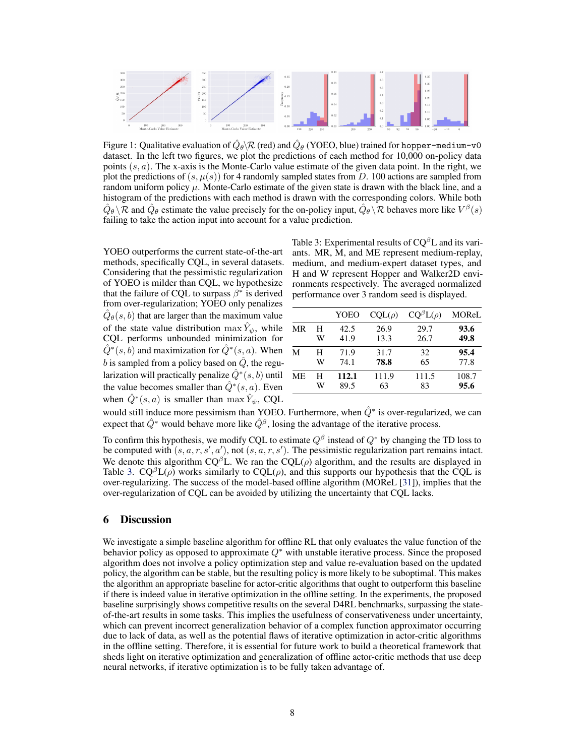<span id="page-7-0"></span>

Figure 1: Qualitative evaluation of  $\hat{Q}_{\theta}$  \R (red) and  $\hat{Q}_{\theta}$  (YOEO, blue) trained for hopper-medium-v0 dataset. In the left two figures, we plot the predictions of each method for 10,000 on-policy data points  $(s, a)$ . The x-axis is the Monte-Carlo value estimate of the given data point. In the right, we plot the predictions of  $(s, \mu(s))$  for 4 randomly sampled states from D. 100 actions are sampled from random uniform policy  $\mu$ . Monte-Carlo estimate of the given state is drawn with the black line, and a histogram of the predictions with each method is drawn with the corresponding colors. While both  $\hat{Q}_{\theta} \backslash \mathcal{R}$  and  $\hat{Q}_{\theta}$  estimate the value precisely for the on-policy input,  $\hat{Q}_{\theta} \backslash \mathcal{R}$  behaves more like  $V^{\beta}(s)$ failing to take the action input into account for a value prediction.

YOEO outperforms the current state-of-the-art methods, specifically CQL, in several datasets. Considering that the pessimistic regularization of YOEO is milder than CQL, we hypothesize that the failure of CQL to surpass  $\beta^*$  is derived from over-regularization; YOEO only penalizes  $\hat{Q}_{\theta}(s, b)$  that are larger than the maximum value of the state value distribution  $\max \hat{Y}_{\psi}$ , while CQL performs unbounded minimization for  $\hat{Q}^*(s, b)$  and maximization for  $\hat{Q}^*(s, a)$ . When b is sampled from a policy based on  $\hat{Q}$ , the regularization will practically penalize  $\hat{Q}^{*}(s,b)$  until the value becomes smaller than  $\hat{Q}^*(s, a)$ . Even when  $\hat{Q}^*(s, a)$  is smaller than  $\max \hat{Y}_{\psi}$ , CQL

Table 3: Experimental results of  $CQ^{\beta}L$  and its variants. MR, M, and ME represent medium-replay, medium, and medium-expert dataset types, and H and W represent Hopper and Walker2D environments respectively. The averaged normalized performance over 3 random seed is displayed.

|    |   | YOEO  | $COL(\rho)$ | $CO^{\beta}L(\rho)$ | MOReL |
|----|---|-------|-------------|---------------------|-------|
| MR | н | 42.5  | 26.9        | 29.7                | 93.6  |
|    | W | 41.9  | 13.3        | 26.7                | 49.8  |
| M  | Н | 71.9  | 31.7        | 32                  | 95.4  |
|    | W | 74.1  | 78.8        | 65                  | 77.8  |
| МE | н | 112.1 | 111.9       | 111.5               | 108.7 |
|    | W | 89.5  | 63          | 83                  | 95.6  |

would still induce more pessimism than YOEO. Furthermore, when  $\hat{Q}^*$  is over-regularized, we can expect that  $\hat{Q}^*$  would behave more like  $\hat{Q}^{\beta}$ , losing the advantage of the iterative process.

To confirm this hypothesis, we modify CQL to estimate  $Q^{\beta}$  instead of  $Q^*$  by changing the TD loss to be computed with  $(s, a, r, s', a')$ , not  $(s, a, r, s')$ . The pessimistic regularization part remains intact. We denote this algorithm  $CQ^{\beta}L$ . We ran the  $CQL(\rho)$  algorithm, and the results are displayed in Table 3.  $CQ^{\beta}L(\rho)$  works similarly to  $CQL(\rho)$ , and this supports our hypothesis that the CQL is over-regularizing. The success of the model-based offline algorithm (MOReL [\[31\]](#page-9-0)), implies that the over-regularization of CQL can be avoided by utilizing the uncertainty that CQL lacks.

### 6 Discussion

We investigate a simple baseline algorithm for offline RL that only evaluates the value function of the behavior policy as opposed to approximate  $Q^*$  with unstable iterative process. Since the proposed algorithm does not involve a policy optimization step and value re-evaluation based on the updated policy, the algorithm can be stable, but the resulting policy is more likely to be suboptimal. This makes the algorithm an appropriate baseline for actor-critic algorithms that ought to outperform this baseline if there is indeed value in iterative optimization in the offline setting. In the experiments, the proposed baseline surprisingly shows competitive results on the several D4RL benchmarks, surpassing the stateof-the-art results in some tasks. This implies the usefulness of conservativeness under uncertainty, which can prevent incorrect generalization behavior of a complex function approximator occurring due to lack of data, as well as the potential flaws of iterative optimization in actor-critic algorithms in the offline setting. Therefore, it is essential for future work to build a theoretical framework that sheds light on iterative optimization and generalization of offline actor-critic methods that use deep neural networks, if iterative optimization is to be fully taken advantage of.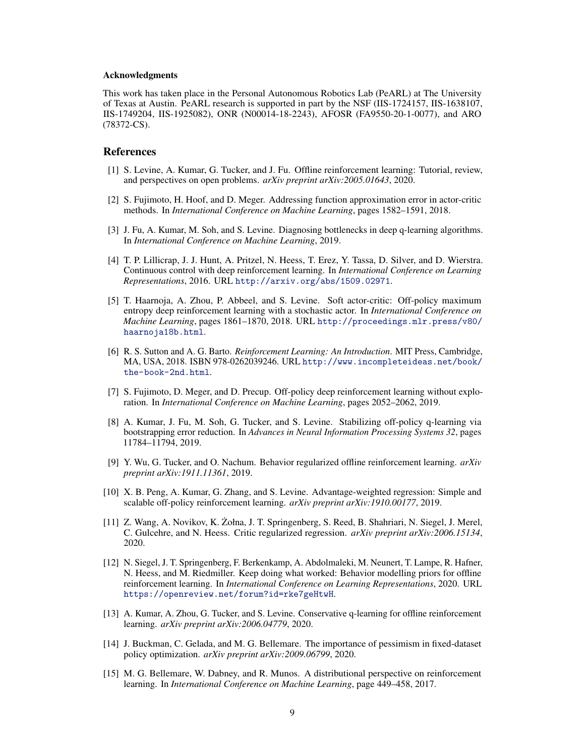#### <span id="page-8-0"></span>Acknowledgments

This work has taken place in the Personal Autonomous Robotics Lab (PeARL) at The University of Texas at Austin. PeARL research is supported in part by the NSF (IIS-1724157, IIS-1638107, IIS-1749204, IIS-1925082), ONR (N00014-18-2243), AFOSR (FA9550-20-1-0077), and ARO (78372-CS).

## **References**

- [1] S. Levine, A. Kumar, G. Tucker, and J. Fu. Offline reinforcement learning: Tutorial, review, and perspectives on open problems. *arXiv preprint arXiv:2005.01643*, 2020.
- [2] S. Fujimoto, H. Hoof, and D. Meger. Addressing function approximation error in actor-critic methods. In *International Conference on Machine Learning*, pages 1582–1591, 2018.
- [3] J. Fu, A. Kumar, M. Soh, and S. Levine. Diagnosing bottlenecks in deep q-learning algorithms. In *International Conference on Machine Learning*, 2019.
- [4] T. P. Lillicrap, J. J. Hunt, A. Pritzel, N. Heess, T. Erez, Y. Tassa, D. Silver, and D. Wierstra. Continuous control with deep reinforcement learning. In *International Conference on Learning Representations*, 2016. URL <http://arxiv.org/abs/1509.02971>.
- [5] T. Haarnoja, A. Zhou, P. Abbeel, and S. Levine. Soft actor-critic: Off-policy maximum entropy deep reinforcement learning with a stochastic actor. In *International Conference on Machine Learning*, pages 1861–1870, 2018. URL [http://proceedings.mlr.press/v80/](http://proceedings.mlr.press/v80/haarnoja18b.html) [haarnoja18b.html](http://proceedings.mlr.press/v80/haarnoja18b.html).
- [6] R. S. Sutton and A. G. Barto. *Reinforcement Learning: An Introduction*. MIT Press, Cambridge, MA, USA, 2018. ISBN 978-0262039246. URL [http://www.incompleteideas.net/book/](http://www.incompleteideas.net/book/the-book-2nd.html) [the-book-2nd.html](http://www.incompleteideas.net/book/the-book-2nd.html).
- [7] S. Fujimoto, D. Meger, and D. Precup. Off-policy deep reinforcement learning without exploration. In *International Conference on Machine Learning*, pages 2052–2062, 2019.
- [8] A. Kumar, J. Fu, M. Soh, G. Tucker, and S. Levine. Stabilizing off-policy q-learning via bootstrapping error reduction. In *Advances in Neural Information Processing Systems 32*, pages 11784–11794, 2019.
- [9] Y. Wu, G. Tucker, and O. Nachum. Behavior regularized offline reinforcement learning. *arXiv preprint arXiv:1911.11361*, 2019.
- [10] X. B. Peng, A. Kumar, G. Zhang, and S. Levine. Advantage-weighted regression: Simple and scalable off-policy reinforcement learning. *arXiv preprint arXiv:1910.00177*, 2019.
- [11] Z. Wang, A. Novikov, K. Zołna, J. T. Springenberg, S. Reed, B. Shahriari, N. Siegel, J. Merel, ˙ C. Gulcehre, and N. Heess. Critic regularized regression. *arXiv preprint arXiv:2006.15134*, 2020.
- [12] N. Siegel, J. T. Springenberg, F. Berkenkamp, A. Abdolmaleki, M. Neunert, T. Lampe, R. Hafner, N. Heess, and M. Riedmiller. Keep doing what worked: Behavior modelling priors for offline reinforcement learning. In *International Conference on Learning Representations*, 2020. URL <https://openreview.net/forum?id=rke7geHtwH>.
- [13] A. Kumar, A. Zhou, G. Tucker, and S. Levine. Conservative q-learning for offline reinforcement learning. *arXiv preprint arXiv:2006.04779*, 2020.
- [14] J. Buckman, C. Gelada, and M. G. Bellemare. The importance of pessimism in fixed-dataset policy optimization. *arXiv preprint arXiv:2009.06799*, 2020.
- [15] M. G. Bellemare, W. Dabney, and R. Munos. A distributional perspective on reinforcement learning. In *International Conference on Machine Learning*, page 449–458, 2017.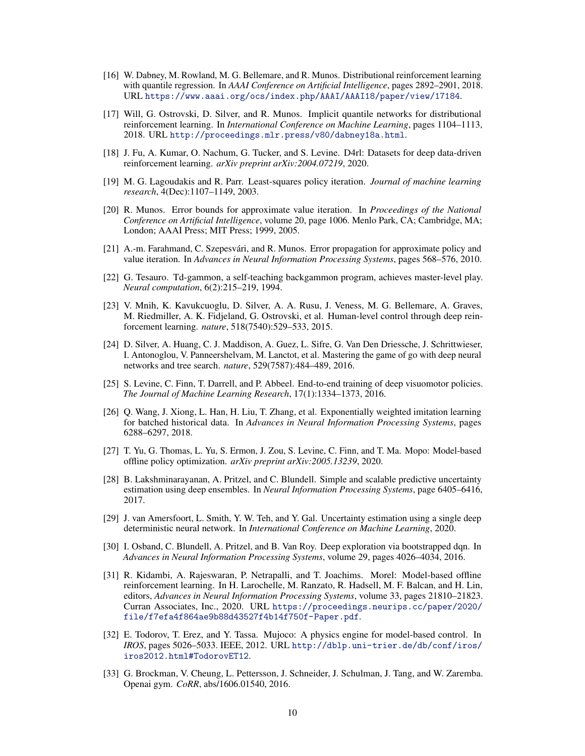- <span id="page-9-0"></span>[16] W. Dabney, M. Rowland, M. G. Bellemare, and R. Munos. Distributional reinforcement learning with quantile regression. In *AAAI Conference on Artificial Intelligence*, pages 2892–2901, 2018. URL <https://www.aaai.org/ocs/index.php/AAAI/AAAI18/paper/view/17184>.
- [17] Will, G. Ostrovski, D. Silver, and R. Munos. Implicit quantile networks for distributional reinforcement learning. In *International Conference on Machine Learning*, pages 1104–1113, 2018. URL <http://proceedings.mlr.press/v80/dabney18a.html>.
- [18] J. Fu, A. Kumar, O. Nachum, G. Tucker, and S. Levine. D4rl: Datasets for deep data-driven reinforcement learning. *arXiv preprint arXiv:2004.07219*, 2020.
- [19] M. G. Lagoudakis and R. Parr. Least-squares policy iteration. *Journal of machine learning research*, 4(Dec):1107–1149, 2003.
- [20] R. Munos. Error bounds for approximate value iteration. In *Proceedings of the National Conference on Artificial Intelligence*, volume 20, page 1006. Menlo Park, CA; Cambridge, MA; London; AAAI Press; MIT Press; 1999, 2005.
- [21] A.-m. Farahmand, C. Szepesvári, and R. Munos. Error propagation for approximate policy and value iteration. In *Advances in Neural Information Processing Systems*, pages 568–576, 2010.
- [22] G. Tesauro. Td-gammon, a self-teaching backgammon program, achieves master-level play. *Neural computation*, 6(2):215–219, 1994.
- [23] V. Mnih, K. Kavukcuoglu, D. Silver, A. A. Rusu, J. Veness, M. G. Bellemare, A. Graves, M. Riedmiller, A. K. Fidjeland, G. Ostrovski, et al. Human-level control through deep reinforcement learning. *nature*, 518(7540):529–533, 2015.
- [24] D. Silver, A. Huang, C. J. Maddison, A. Guez, L. Sifre, G. Van Den Driessche, J. Schrittwieser, I. Antonoglou, V. Panneershelvam, M. Lanctot, et al. Mastering the game of go with deep neural networks and tree search. *nature*, 529(7587):484–489, 2016.
- [25] S. Levine, C. Finn, T. Darrell, and P. Abbeel. End-to-end training of deep visuomotor policies. *The Journal of Machine Learning Research*, 17(1):1334–1373, 2016.
- [26] Q. Wang, J. Xiong, L. Han, H. Liu, T. Zhang, et al. Exponentially weighted imitation learning for batched historical data. In *Advances in Neural Information Processing Systems*, pages 6288–6297, 2018.
- [27] T. Yu, G. Thomas, L. Yu, S. Ermon, J. Zou, S. Levine, C. Finn, and T. Ma. Mopo: Model-based offline policy optimization. *arXiv preprint arXiv:2005.13239*, 2020.
- [28] B. Lakshminarayanan, A. Pritzel, and C. Blundell. Simple and scalable predictive uncertainty estimation using deep ensembles. In *Neural Information Processing Systems*, page 6405–6416, 2017.
- [29] J. van Amersfoort, L. Smith, Y. W. Teh, and Y. Gal. Uncertainty estimation using a single deep deterministic neural network. In *International Conference on Machine Learning*, 2020.
- [30] I. Osband, C. Blundell, A. Pritzel, and B. Van Roy. Deep exploration via bootstrapped dqn. In *Advances in Neural Information Processing Systems*, volume 29, pages 4026–4034, 2016.
- [31] R. Kidambi, A. Rajeswaran, P. Netrapalli, and T. Joachims. Morel: Model-based offline reinforcement learning. In H. Larochelle, M. Ranzato, R. Hadsell, M. F. Balcan, and H. Lin, editors, *Advances in Neural Information Processing Systems*, volume 33, pages 21810–21823. Curran Associates, Inc., 2020. URL [https://proceedings.neurips.cc/paper/2020/](https://proceedings.neurips.cc/paper/2020/file/f7efa4f864ae9b88d43527f4b14f750f-Paper.pdf) [file/f7efa4f864ae9b88d43527f4b14f750f-Paper.pdf](https://proceedings.neurips.cc/paper/2020/file/f7efa4f864ae9b88d43527f4b14f750f-Paper.pdf).
- [32] E. Todorov, T. Erez, and Y. Tassa. Mujoco: A physics engine for model-based control. In *IROS*, pages 5026–5033. IEEE, 2012. URL [http://dblp.uni-trier.de/db/conf/iros/](http://dblp.uni-trier.de/db/conf/iros/iros2012.html#TodorovET12) [iros2012.html#TodorovET12](http://dblp.uni-trier.de/db/conf/iros/iros2012.html#TodorovET12).
- [33] G. Brockman, V. Cheung, L. Pettersson, J. Schneider, J. Schulman, J. Tang, and W. Zaremba. Openai gym. *CoRR*, abs/1606.01540, 2016.